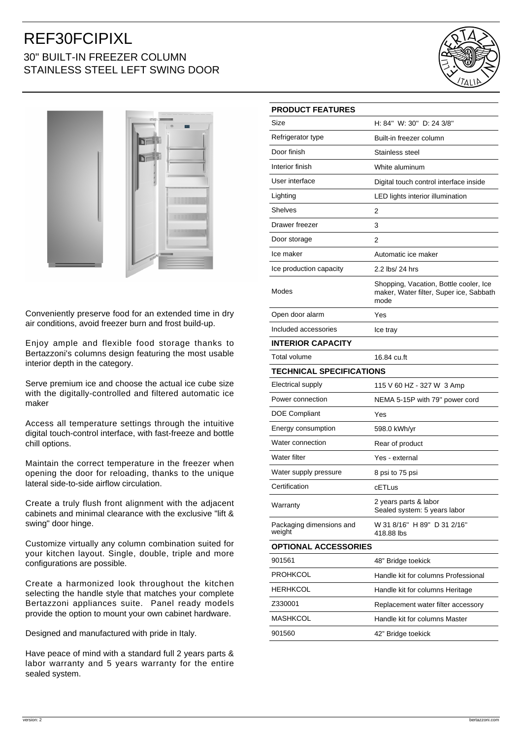## REF30FCIPIXL 30" BUILT-IN FREEZER COLUMN STAINLESS STEEL LEFT SWING DOOR





Conveniently preserve food for an extended time in dry air conditions, avoid freezer burn and frost build-up.

Enjoy ample and flexible food storage thanks to Bertazzoni's columns design featuring the most usable interior depth in the category.

Serve premium ice and choose the actual ice cube size with the digitally-controlled and filtered automatic ice maker

Access all temperature settings through the intuitive digital touch-control interface, with fast-freeze and bottle chill options.

Maintain the correct temperature in the freezer when opening the door for reloading, thanks to the unique lateral side-to-side airflow circulation.

Create a truly flush front alignment with the adjacent cabinets and minimal clearance with the exclusive "lift & swing" door hinge.

Customize virtually any column combination suited for your kitchen layout. Single, double, triple and more configurations are possible.

Create a harmonized look throughout the kitchen selecting the handle style that matches your complete Bertazzoni appliances suite. Panel ready models provide the option to mount your own cabinet hardware.

Designed and manufactured with pride in Italy.

Have peace of mind with a standard full 2 years parts & labor warranty and 5 years warranty for the entire sealed system.

| <b>PRODUCT FEATURES</b>            |                                                                                           |
|------------------------------------|-------------------------------------------------------------------------------------------|
| Size                               | H: 84" W: 30" D: 24 3/8"                                                                  |
| Refrigerator type                  | Built-in freezer column                                                                   |
| Door finish                        | Stainless steel                                                                           |
| Interior finish                    | White aluminum                                                                            |
| User interface                     | Digital touch control interface inside                                                    |
| Lighting                           | LED lights interior illumination                                                          |
| Shelves                            | 2                                                                                         |
| Drawer freezer                     | 3                                                                                         |
| Door storage                       | 2                                                                                         |
| Ice maker                          | Automatic ice maker                                                                       |
| Ice production capacity            | 2.2 lbs/ 24 hrs                                                                           |
| Modes                              | Shopping, Vacation, Bottle cooler, Ice<br>maker, Water filter, Super ice, Sabbath<br>mode |
| Open door alarm                    | Yes                                                                                       |
| Included accessories               | Ice tray                                                                                  |
| <b>INTERIOR CAPACITY</b>           |                                                                                           |
| <b>Total volume</b>                | 16.84 cu.ft                                                                               |
| <b>TECHNICAL SPECIFICATIONS</b>    |                                                                                           |
| Electrical supply                  | 115 V 60 HZ - 327 W 3 Amp                                                                 |
| Power connection                   | NEMA 5-15P with 79" power cord                                                            |
| <b>DOE Compliant</b>               | Yes                                                                                       |
| Energy consumption                 | 598.0 kWh/yr                                                                              |
| Water connection                   | Rear of product                                                                           |
| Water filter                       | Yes - external                                                                            |
| Water supply pressure              | 8 psi to 75 psi                                                                           |
| Certification                      | cETLus                                                                                    |
| Warranty                           | 2 years parts & labor<br>Sealed system: 5 years labor                                     |
| Packaging dimensions and<br>weight | W 31 8/16" H 89" D 31 2/16"<br>418.88 lbs                                                 |
| <b>OPTIONAL ACCESSORIES</b>        |                                                                                           |
| 901561                             | 48" Bridge toekick                                                                        |
| <b>PROHKCOL</b>                    | Handle kit for columns Professional                                                       |
| HERHKCOL                           | Handle kit for columns Heritage                                                           |
| Z330001                            | Replacement water filter accessory                                                        |
| MASHKCOL                           | Handle kit for columns Master                                                             |
| 901560                             | 42" Bridge toekick                                                                        |
|                                    |                                                                                           |